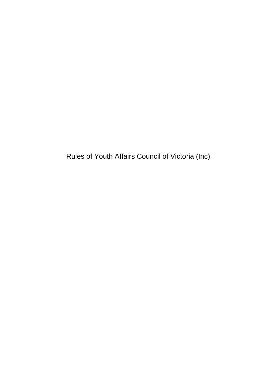Rules of Youth Affairs Council of Victoria (Inc)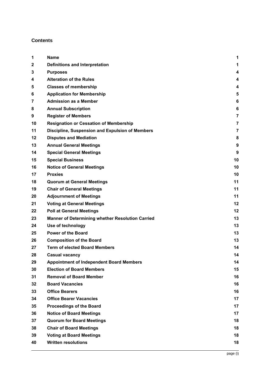# **Contents**

| 1  | <b>Name</b>                                      | 1              |
|----|--------------------------------------------------|----------------|
| 2  | <b>Definitions and Interpretation</b>            | 1              |
| 3  | <b>Purposes</b>                                  | 4              |
| 4  | <b>Alteration of the Rules</b>                   | 4              |
| 5  | <b>Classes of membership</b>                     | 4              |
| 6  | <b>Application for Membership</b>                | 5              |
| 7  | <b>Admission as a Member</b>                     | 6              |
| 8  | <b>Annual Subscription</b>                       | 6              |
| 9  | <b>Register of Members</b>                       | $\overline{7}$ |
| 10 | <b>Resignation or Cessation of Membership</b>    | $\overline{7}$ |
| 11 | Discipline, Suspension and Expulsion of Members  | 7              |
| 12 | <b>Disputes and Mediation</b>                    | 8              |
| 13 | <b>Annual General Meetings</b>                   | 9              |
| 14 | <b>Special General Meetings</b>                  | 9              |
| 15 | <b>Special Business</b>                          | 10             |
| 16 | <b>Notice of General Meetings</b>                | 10             |
| 17 | <b>Proxies</b>                                   | 10             |
| 18 | <b>Quorum at General Meetings</b>                | 11             |
| 19 | <b>Chair of General Meetings</b>                 | 11             |
| 20 | <b>Adjournment of Meetings</b>                   | 11             |
| 21 | <b>Voting at General Meetings</b>                | 12             |
| 22 | <b>Poll at General Meetings</b>                  | 12             |
| 23 | Manner of Determining whether Resolution Carried | 13             |
| 24 | Use of technology                                | 13             |
| 25 | <b>Power of the Board</b>                        | 13             |
| 26 | <b>Composition of the Board</b>                  | 13             |
| 27 | <b>Term of elected Board Members</b>             | 14             |
| 28 | <b>Casual vacancy</b>                            | 14             |
| 29 | <b>Appointment of Independent Board Members</b>  | 14             |
| 30 | <b>Election of Board Members</b>                 | 15             |
| 31 | <b>Removal of Board Member</b>                   | 16             |
| 32 | <b>Board Vacancies</b>                           | 16             |
| 33 | <b>Office Bearers</b>                            | 16             |
| 34 | <b>Office Bearer Vacancies</b>                   | 17             |
| 35 | <b>Proceedings of the Board</b>                  | 17             |
| 36 | <b>Notice of Board Meetings</b>                  | 17             |
| 37 | <b>Quorum for Board Meetings</b>                 | 18             |
| 38 | <b>Chair of Board Meetings</b>                   | 18             |
| 39 | <b>Voting at Board Meetings</b>                  | 18             |
| 40 | <b>Written resolutions</b>                       | 18             |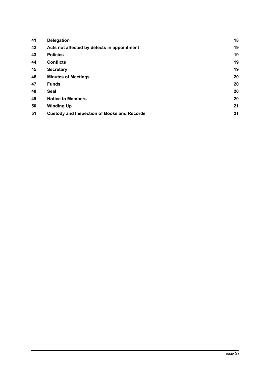| <b>Delegation</b>                                  | 18 |
|----------------------------------------------------|----|
| Acts not affected by defects in appointment        | 19 |
| <b>Policies</b>                                    | 19 |
| <b>Conflicts</b>                                   | 19 |
| <b>Secretary</b>                                   | 19 |
| <b>Minutes of Meetings</b>                         | 20 |
| <b>Funds</b>                                       | 20 |
| Seal                                               | 20 |
| <b>Notice to Members</b>                           | 20 |
| <b>Winding Up</b>                                  | 21 |
| <b>Custody and Inspection of Books and Records</b> | 21 |
|                                                    |    |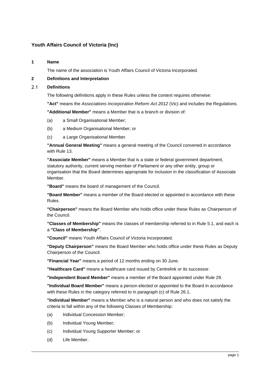# **Youth Affairs Council of Victoria (Inc)**

## <span id="page-3-0"></span>**1 Name**

The name of the association is Youth Affairs Council of Victoria Incorporated.

# <span id="page-3-1"></span>**2 Definitions and Interpretation**

#### $2.1$ **Definitions**

The following definitions apply in these Rules unless the context requires otherwise:

**"Act"** means the *Associations Incorporation Reform Act 2012* (Vic) and includes the Regulations.

**"Additional Member"** means a Member that is a branch or division of:

- (a) a Small Organisational Member;
- (b) a Medium Organisational Member; or
- (c) a Large Organisational Member.

**"Annual General Meeting"** means a general meeting of the Council convened in accordance with Rule [13.](#page-11-2)

**"Associate Member"** means a Member that is a state or federal government department, statutory authority, current serving member of Parliament or any other entity, group or organisation that the Board determines appropriate for inclusion in the classification of Associate Member.

**"Board"** means the board of management of the Council.

**"Board Member"** means a member of the Board elected or appointed in accordance with these Rules.

**"Chairperson"** means the Board Member who holds office under these Rules as Chairperson of the Council.

**"Classes of Membership"** means the classes of membership referred to in Rule [5.1,](#page-6-3) and each is a **"Class of Membership"**.

**"Council"** means Youth Affairs Council of Victoria Incorporated.

**"Deputy Chairperson"** means the Board Member who holds office under these Rules as Deputy Chairperson of the Council.

**"Financial Year"** means a period of 12 months ending on 30 June.

**"Healthcare Card"** means a healthcare card issued by Centrelink or its successor.

**"Independent Board Member"** means a member of the Board appointed under Rule [29.](#page-16-3)

**"Individual Board Member"** means a person elected or appointed to the Board in accordance with these Rules in the category referred to in paragraph [\(c\)](#page-15-4) of Rule [26.1.](#page-15-5)

**"Individual Member"** means a Member who is a natural person and who does not satisfy the criteria to fall within any of the following Classes of Membership:

- (a) Individual Concession Member;
- (b) Individual Young Member;
- (c) Individual Young Supporter Member; or
- (d) Life Member.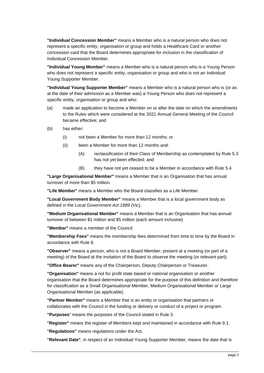**"Individual Concession Member"** means a Member who is a natural person who does not represent a specific entity, organisation or group and holds a Healthcare Card or another concession card that the Board determines appropriate for inclusion in the classification of Individual Concession Member.

**"Individual Young Member"** means a Member who is a natural person who is a Young Person who does not represent a specific entity, organisation or group and who is not an Individual Young Supporter Member.

**"Individual Young Supporter Member"** means a Member who is a natural person who is (or as at the date of their admission as a Member was) a Young Person who does not represent a specific entity, organisation or group and who:

- (a) made an application to become a Member on or after the date on which the amendments to the Rules which were considered at the 2021 Annual General Meeting of the Council became effective; and
- (b) has either:
	- (i) not been a Member for more than 12 months; or
	- (ii) been a Member for more than 12 months and:
		- (A) reclassification of their Class of Membership as contemplated by Rule 5.3 has not yet been effected; and
		- (B) they have not yet ceased to be a Member in accordance with Rule 5.4.

**"Large Organisational Member"** means a Member that is an Organisation that has annual turnover of more than \$5 million.

**"Life Member"** means a Member who the Board classifies as a Life Member.

**"Local Government Body Member"** means a Member that is a local government body as defined in the *Local Government Act 1989* (Vic).

**"Medium Organisational Member"** means a Member that is an Organisation that has annual turnover of between \$1 million and \$5 million (each amount inclusive).

**"Member"** means a member of the Council.

**"Membership Fees"** means the membership fees determined from time to time by the Board in accordance with Rule [8.](#page-8-2)

**"Observer"** means a person, who is not a Board Member, present at a meeting (or part of a meeting) of the Board at the invitation of the Board to observe the meeting (or relevant part).

**"Office Bearer"** means any of the Chairperson, Deputy Chairperson or Treasurer.

**"Organisation"** means a not for profit state based or national organisation or another organisation that the Board determines appropriate for the purpose of this definition and therefore for classification as a Small Organisational Member, Medium Organisational Member or Large Organisational Member (as applicable).

**"Partner Member"** means a Member that is an entity or organisation that partners or collaborates with the Council in the funding or delivery or conduct of a project or program.

**"Purposes**" means the purposes of the Council stated in Rule [3.](#page-6-4)

**"Register"** means the register of Members kept and maintained in accordance with Rule [9.1.](#page-9-3)

**"Regulations"** means regulations under the Act.

**"Relevant Date"**, in respect of an Individual Young Supporter Member, means the date that is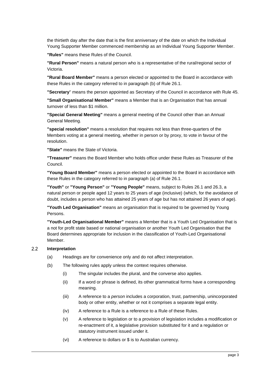the thirtieth day after the date that is the first anniversary of the date on which the Individual Young Supporter Member commenced membership as an Individual Young Supporter Member.

**"Rules"** means these Rules of the Council.

**"Rural Person"** means a natural person who is a representative of the rural/regional sector of Victoria.

**"Rural Board Member"** means a person elected or appointed to the Board in accordance with these Rules in the category referred to in paragraph [\(b\)](#page-15-6) of Rule [26.1.](#page-15-5)

**"Secretary**" means the person appointed as Secretary of the Council in accordance with Rule [45.](#page-21-4)

**"Small Organisational Member"** means a Member that is an Organisation that has annual turnover of less than \$1 million.

**"Special General Meeting"** means a general meeting of the Council other than an Annual General Meeting.

**"special resolution"** means a resolution that requires not less than three-quarters of the Members voting at a general meeting, whether in person or by proxy, to vote in favour of the resolution.

**"State"** means the State of Victoria.

**"Treasurer"** means the Board Member who holds office under these Rules as Treasurer of the Council.

**"Young Board Member"** means a person elected or appointed to the Board in accordance with these Rules in the category referred to in paragraph [\(a\)](#page-15-7) of Rule [26.1.](#page-15-5)

**"Youth"** or **"Young Person"** or **"Young People"** means, subject to Rules [26.1](#page-15-5) and [26.3,](#page-16-4) a natural person or people aged 12 years to 25 years of age (inclusive) (which, for the avoidance of doubt, includes a person who has attained 25 years of age but has not attained 26 years of age).

**"Youth Led Organisation"** means an organisation that is required to be governed by Young Persons.

**"Youth-Led Organisational Member"** means a Member that is a Youth Led Organisation that is a not for profit state based or national organisation or another Youth Led Organisation that the Board determines appropriate for inclusion in the classification of Youth-Led Organisational Member.

#### $2.2$ **Interpretation**

- (a) Headings are for convenience only and do not affect interpretation.
- (b) The following rules apply unless the context requires otherwise.
	- (i) The singular includes the plural, and the converse also applies.
	- (ii) If a word or phrase is defined, its other grammatical forms have a corresponding meaning.
	- (iii) A reference to a *person* includes a corporation, trust, partnership, unincorporated body or other entity, whether or not it comprises a separate legal entity.
	- (iv) A reference to a Rule is a reference to a Rule of these Rules.
	- (v) A reference to legislation or to a provision of legislation includes a modification or re-enactment of it, a legislative provision substituted for it and a regulation or statutory instrument issued under it.
	- (vi) A reference to dollars or \$ is to Australian currency.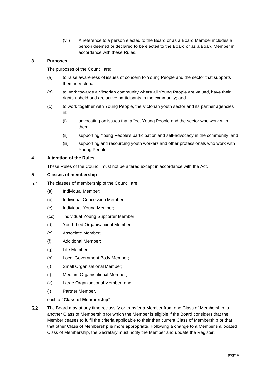(vii) A reference to a person elected to the Board or as a Board Member includes a person deemed or declared to be elected to the Board or as a Board Member in accordance with these Rules.

# <span id="page-6-4"></span><span id="page-6-0"></span>**3 Purposes**

The purposes of the Council are:

- (a) to raise awareness of issues of concern to Young People and the sector that supports them in Victoria;
- (b) to work towards a Victorian community where all Young People are valued, have their rights upheld and are active participants in the community; and
- (c) to work together with Young People, the Victorian youth sector and its partner agencies in:
	- (i) advocating on issues that affect Young People and the sector who work with them;
	- (ii) supporting Young People's participation and self-advocacy in the community; and
	- (iii) supporting and resourcing youth workers and other professionals who work with Young People.

# <span id="page-6-1"></span>**4 Alteration of the Rules**

These Rules of the Council must not be altered except in accordance with the Act.

### <span id="page-6-2"></span>**5 Classes of membership**

- <span id="page-6-3"></span> $5.1$ The classes of membership of the Council are:
	- (a) Individual Member;
	- (b) Individual Concession Member;
	- (c) Individual Young Member;
	- (cc) Individual Young Supporter Member;
	- (d) Youth-Led Organisational Member;
	- (e) Associate Member;
	- (f) Additional Member;
	- (g) Life Member;
	- (h) Local Government Body Member;
	- (i) Small Organisational Member;
	- (j) Medium Organisational Member;
	- (k) Large Organisational Member; and
	- (l) Partner Member,

### each a **"Class of Membership"**.

<span id="page-6-5"></span> $5.2$ The Board may at any time reclassify or transfer a Member from one Class of Membership to another Class of Membership for which the Member is eligible if the Board considers that the Member ceases to fulfil the criteria applicable to their then current Class of Membership or that that other Class of Membership is more appropriate. Following a change to a Member's allocated Class of Membership, the Secretary must notify the Member and update the Register.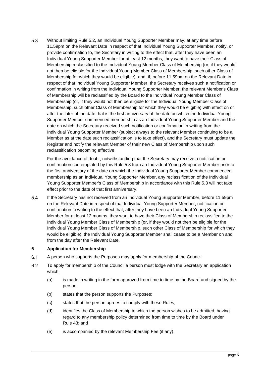$5.3$ Without limiting Rule [5.2,](#page-6-5) an Individual Young Supporter Member may, at any time before 11.59pm on the Relevant Date in respect of that Individual Young Supporter Member, notify, or provide confirmation to, the Secretary in writing to the effect that, after they have been an Individual Young Supporter Member for at least 12 months, they want to have their Class of Membership reclassified to the Individual Young Member Class of Membership (or, if they would not then be eligible for the Individual Young Member Class of Membership, such other Class of Membership for which they would be eligible), and, if, before 11.59pm on the Relevant Date in respect of that Individual Young Supporter Member, the Secretary receives such a notification or confirmation in writing from the Individual Young Supporter Member, the relevant Member's Class of Membership will be reclassified by the Board to the Individual Young Member Class of Membership (or, if they would not then be eligible for the Individual Young Member Class of Membership, such other Class of Membership for which they would be eligible) with effect on or after the later of the date that is the first anniversary of the date on which the Individual Young Supporter Member commenced membership as an Individual Young Supporter Member and the date on which the Secretary received such notification or confirmation in writing from the Individual Young Supporter Member (subject always to the relevant Member continuing to be a Member as at the date such reclassification is to take effect), and the Secretary must update the Register and notify the relevant Member of their new Class of Membership upon such reclassification becoming effective.

For the avoidance of doubt, notwithstanding that the Secretary may receive a notification or confirmation contemplated by this Rule 5.3 from an Individual Young Supporter Member prior to the first anniversary of the date on which the Individual Young Supporter Member commenced membership as an Individual Young Supporter Member, any reclassification of the Individual Young Supporter Member's Class of Membership in accordance with this Rule 5.3 will not take effect prior to the date of that first anniversary.

<span id="page-7-1"></span>5.4 If the Secretary has not received from an Individual Young Supporter Member, before 11.59pm on the Relevant Date in respect of that Individual Young Supporter Member, notification or confirmation in writing to the effect that, after they have been an Individual Young Supporter Member for at least 12 months, they want to have their Class of Membership reclassified to the Individual Young Member Class of Membership (or, if they would not then be eligible for the Individual Young Member Class of Membership, such other Class of Membership for which they would be eligible), the Individual Young Supporter Member shall cease to be a Member on and from the day after the Relevant Date.

### <span id="page-7-0"></span>**6 Application for Membership**

- $6.1$ A person who supports the Purposes may apply for membership of the Council.
- 6.2 To apply for membership of the Council a person must lodge with the Secretary an application which:
	- (a) is made in writing in the form approved from time to time by the Board and signed by the person;
	- (b) states that the person supports the Purposes;
	- (c) states that the person agrees to comply with these Rules;
	- (d) identifies the Class of Membership to which the person wishes to be admitted, having regard to any membership policy determined from time to time by the Board under Rule [43;](#page-21-5) and
	- (e) is accompanied by the relevant Membership Fee (if any).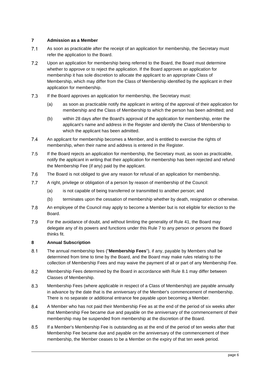# <span id="page-8-3"></span><span id="page-8-0"></span>**7 Admission as a Member**

- $7.1$ As soon as practicable after the receipt of an application for membership, the Secretary must refer the application to the Board.
- $7.2$ Upon an application for membership being referred to the Board, the Board must determine whether to approve or to reject the application. If the Board approves an application for membership it has sole discretion to allocate the applicant to an appropriate Class of Membership, which may differ from the Class of Membership identified by the applicant in their application for membership.
- 7.3 If the Board approves an application for membership, the Secretary must:
	- (a) as soon as practicable notify the applicant in writing of the approval of their application for membership and the Class of Membership to which the person has been admitted; and
	- (b) within 28 days after the Board's approval of the application for membership, enter the applicant's name and address in the Register and identify the Class of Membership to which the applicant has been admitted.
- $7.4$ An applicant for membership becomes a Member, and is entitled to exercise the rights of membership, when their name and address is entered in the Register.
- 7.5 If the Board rejects an application for membership, the Secretary must, as soon as practicable, notify the applicant in writing that their application for membership has been rejected and refund the Membership Fee (if any) paid by the applicant.
- 7.6 The Board is not obliged to give any reason for refusal of an application for membership.
- $7.7$ A right, privilege or obligation of a person by reason of membership of the Council:
	- (a) is not capable of being transferred or transmitted to another person; and
	- (b) terminates upon the cessation of membership whether by death, resignation or otherwise.
- 7.8 An employee of the Council may apply to become a Member but is not eligible for election to the Board.
- 7.9 For the avoidance of doubt, and without limiting the generality of Rule [41,](#page-20-5) the Board may delegate any of its powers and functions under this Rule [7](#page-8-3) to any person or persons the Board thinks fit.

### <span id="page-8-2"></span><span id="page-8-1"></span>**8 Annual Subscription**

- <span id="page-8-4"></span> $8.1$ The annual membership fees ("**Membership Fees**"), if any, payable by Members shall be determined from time to time by the Board, and the Board may make rules relating to the collection of Membership Fees and may waive the payment of all or part of any Membership Fee.
- 8.2 Membership Fees determined by the Board in accordance with Rule [8.1](#page-8-4) may differ between Classes of Membership.
- 8.3 Membership Fees (where applicable in respect of a Class of Membership) are payable annually in advance by the date that is the anniversary of the Member's commencement of membership. There is no separate or additional entrance fee payable upon becoming a Member.
- 8.4 A Member who has not paid their Membership Fee as at the end of the period of six weeks after that Membership Fee became due and payable on the anniversary of the commencement of their membership may be suspended from membership at the discretion of the Board.
- <span id="page-8-5"></span>8.5 If a Member's Membership Fee is outstanding as at the end of the period of ten weeks after that Membership Fee became due and payable on the anniversary of the commencement of their membership, the Member ceases to be a Member on the expiry of that ten week period.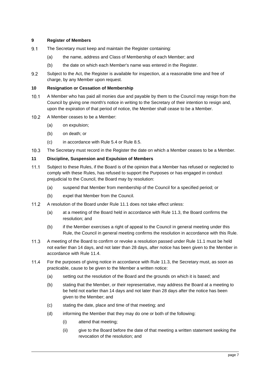# <span id="page-9-0"></span>**9 Register of Members**

- <span id="page-9-3"></span> $9.1$ The Secretary must keep and maintain the Register containing:
	- (a) the name, address and Class of Membership of each Member; and
	- (b) the date on which each Member's name was entered in the Register.
- 9.2 Subject to the Act, the Register is available for inspection, at a reasonable time and free of charge, by any Member upon request.

## <span id="page-9-1"></span>**10 Resignation or Cessation of Membership**

- $10.1$ A Member who has paid all monies due and payable by them to the Council may resign from the Council by giving one month's notice in writing to the Secretary of their intention to resign and, upon the expiration of that period of notice, the Member shall cease to be a Member.
- $10.2$ A Member ceases to be a Member:
	- (a) on expulsion;
	- (b) on death; or
	- (c) in accordance with Rule [5.4](#page-7-1) or Rule [8.5.](#page-8-5)
- $10.3$ The Secretary must record in the Register the date on which a Member ceases to be a Member.

# <span id="page-9-2"></span>**11 Discipline, Suspension and Expulsion of Members**

- <span id="page-9-4"></span> $11.1$ Subject to these Rules, if the Board is of the opinion that a Member has refused or neglected to comply with these Rules, has refused to support the Purposes or has engaged in conduct prejudicial to the Council, the Board may by resolution:
	- (a) suspend that Member from membership of the Council for a specified period; or
	- (b) expel that Member from the Council.
- $11.2$ A resolution of the Board under Rule [11.1](#page-9-4) does not take effect unless:
	- (a) at a meeting of the Board held in accordance with Rule [11.3,](#page-9-5) the Board confirms the resolution; and
	- (b) if the Member exercises a right of appeal to the Council in general meeting under this Rule, the Council in general meeting confirms the resolution in accordance with this Rule.
- <span id="page-9-5"></span> $11.3$ A meeting of the Board to confirm or revoke a resolution passed under Rule [11.1](#page-9-4) must be held not earlier than 14 days, and not later than 28 days, after notice has been given to the Member in accordance with Rule [11.4.](#page-9-6)
- <span id="page-9-6"></span> $11.4$ For the purposes of giving notice in accordance with Rule [11.3,](#page-9-5) the Secretary must, as soon as practicable, cause to be given to the Member a written notice:
	- (a) setting out the resolution of the Board and the grounds on which it is based; and
	- (b) stating that the Member, or their representative, may address the Board at a meeting to be held not earlier than 14 days and not later than 28 days after the notice has been given to the Member; and
	- (c) stating the date, place and time of that meeting; and
	- (d) informing the Member that they may do one or both of the following:
		- (i) attend that meeting;
		- (ii) give to the Board before the date of that meeting a written statement seeking the revocation of the resolution; and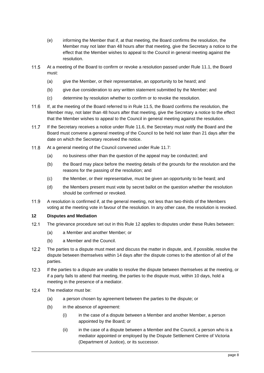- (e) informing the Member that if, at that meeting, the Board confirms the resolution, the Member may not later than 48 hours after that meeting, give the Secretary a notice to the effect that the Member wishes to appeal to the Council in general meeting against the resolution.
- <span id="page-10-1"></span> $11.5$ At a meeting of the Board to confirm or revoke a resolution passed under Rule [11.1,](#page-9-4) the Board must:
	- (a) give the Member, or their representative, an opportunity to be heard; and
	- (b) give due consideration to any written statement submitted by the Member; and
	- (c) determine by resolution whether to confirm or to revoke the resolution.
- <span id="page-10-2"></span> $11.6$ If, at the meeting of the Board referred to in Rule [11.5,](#page-10-1) the Board confirms the resolution, the Member may, not later than 48 hours after that meeting, give the Secretary a notice to the effect that the Member wishes to appeal to the Council in general meeting against the resolution.
- <span id="page-10-3"></span> $11.7$ If the Secretary receives a notice under Rule [11.6,](#page-10-2) the Secretary must notify the Board and the Board must convene a general meeting of the Council to be held not later than 21 days after the date on which the Secretary received the notice.
- <span id="page-10-5"></span> $11.8$ At a general meeting of the Council convened under Rule [11.7:](#page-10-3)
	- (a) no business other than the question of the appeal may be conducted; and
	- (b) the Board may place before the meeting details of the grounds for the resolution and the reasons for the passing of the resolution; and
	- (c) the Member, or their representative, must be given an opportunity to be heard; and
	- (d) the Members present must vote by secret ballot on the question whether the resolution should be confirmed or revoked.
- $11.9$ A resolution is confirmed if, at the general meeting, not less than two-thirds of the Members voting at the meeting vote in favour of the resolution. In any other case, the resolution is revoked.

# <span id="page-10-4"></span><span id="page-10-0"></span>**12 Disputes and Mediation**

- $121$ The grievance procedure set out in this Rule [12](#page-10-4) applies to disputes under these Rules between:
	- (a) a Member and another Member; or
	- (b) a Member and the Council.
- $12.2$ The parties to a dispute must meet and discuss the matter in dispute, and, if possible, resolve the dispute between themselves within 14 days after the dispute comes to the attention of all of the parties.
- $12.3$ If the parties to a dispute are unable to resolve the dispute between themselves at the meeting, or if a party fails to attend that meeting, the parties to the dispute must, within 10 days, hold a meeting in the presence of a mediator.
- $12.4$ The mediator must be:
	- (a) a person chosen by agreement between the parties to the dispute; or
	- (b) in the absence of agreement:
		- (i) in the case of a dispute between a Member and another Member, a person appointed by the Board; or
		- (ii) in the case of a dispute between a Member and the Council, a person who is a mediator appointed or employed by the Dispute Settlement Centre of Victoria (Department of Justice), or its successor.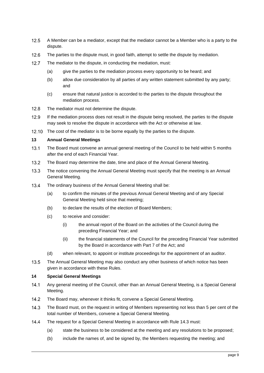- $12.5$ A Member can be a mediator, except that the mediator cannot be a Member who is a party to the dispute.
- $12.6$ The parties to the dispute must, in good faith, attempt to settle the dispute by mediation.
- $12.7$ The mediator to the dispute, in conducting the mediation, must:
	- (a) give the parties to the mediation process every opportunity to be heard; and
	- (b) allow due consideration by all parties of any written statement submitted by any party; and
	- (c) ensure that natural justice is accorded to the parties to the dispute throughout the mediation process.
- $12.8$ The mediator must not determine the dispute.
- $12.9$ If the mediation process does not result in the dispute being resolved, the parties to the dispute may seek to resolve the dispute in accordance with the Act or otherwise at law.
- 12.10 The cost of the mediator is to be borne equally by the parties to the dispute.

### <span id="page-11-2"></span><span id="page-11-0"></span>**13 Annual General Meetings**

- $13.1$ The Board must convene an annual general meeting of the Council to be held within 5 months after the end of each Financial Year.
- $13.2$ The Board may determine the date, time and place of the Annual General Meeting.
- $13.3$ The notice convening the Annual General Meeting must specify that the meeting is an Annual General Meeting.
- $13.4$ The ordinary business of the Annual General Meeting shall be:
	- (a) to confirm the minutes of the previous Annual General Meeting and of any Special General Meeting held since that meeting;
	- (b) to declare the results of the election of Board Members;
	- (c) to receive and consider:
		- (i) the annual report of the Board on the activities of the Council during the preceding Financial Year; and
		- (ii) the financial statements of the Council for the preceding Financial Year submitted by the Board in accordance with Part 7 of the Act; and
	- (d) when relevant, to appoint or institute proceedings for the appointment of an auditor.
- $13.5$ The Annual General Meeting may also conduct any other business of which notice has been given in accordance with these Rules.

## <span id="page-11-1"></span>**14 Special General Meetings**

- $141$ Any general meeting of the Council, other than an Annual General Meeting, is a Special General Meeting.
- $14.2$ The Board may, whenever it thinks fit, convene a Special General Meeting.
- <span id="page-11-3"></span> $14.3$ The Board must, on the request in writing of Members representing not less than 5 per cent of the total number of Members, convene a Special General Meeting.
- $14.4$ The request for a Special General Meeting in accordance with Rule [14.3](#page-11-3) must:
	- (a) state the business to be considered at the meeting and any resolutions to be proposed;
	- (b) include the names of, and be signed by, the Members requesting the meeting; and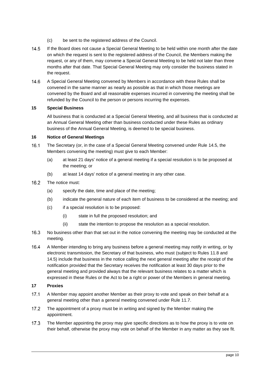- (c) be sent to the registered address of the Council.
- <span id="page-12-3"></span> $14.5$ If the Board does not cause a Special General Meeting to be held within one month after the date on which the request is sent to the registered address of the Council, the Members making the request, or any of them, may convene a Special General Meeting to be held not later than three months after that date. That Special General Meeting may only consider the business stated in the request.
- $14.6$ A Special General Meeting convened by Members in accordance with these Rules shall be convened in the same manner as nearly as possible as that in which those meetings are convened by the Board and all reasonable expenses incurred in convening the meeting shall be refunded by the Council to the person or persons incurring the expenses.

# <span id="page-12-0"></span>**15 Special Business**

All business that is conducted at a Special General Meeting, and all business that is conducted at an Annual General Meeting other than business conducted under these Rules as ordinary business of the Annual General Meeting, is deemed to be special business.

# <span id="page-12-4"></span><span id="page-12-1"></span>**16 Notice of General Meetings**

- $16.1$ The Secretary (or, in the case of a Special General Meeting convened under Rule [14.5,](#page-12-3) the Members convening the meeting) must give to each Member:
	- (a) at least 21 days' notice of a general meeting if a special resolution is to be proposed at the meeting; or
	- (b) at least 14 days' notice of a general meeting in any other case.
- $16.2$ The notice must:
	- (a) specify the date, time and place of the meeting;
	- (b) indicate the general nature of each item of business to be considered at the meeting; and
	- (c) if a special resolution is to be proposed:
		- (i) state in full the proposed resolution; and
		- (ii) state the intention to propose the resolution as a special resolution.
- $16.3$ No business other than that set out in the notice convening the meeting may be conducted at the meeting.
- $16.4$ A Member intending to bring any business before a general meeting may notify in writing, or by electronic transmission, the Secretary of that business, who must (subject to Rules [11.8](#page-10-5) and [14.5\)](#page-12-3) include that business in the notice calling the next general meeting after the receipt of the notification provided that the Secretary receives the notification at least 30 days prior to the general meeting and provided always that the relevant business relates to a matter which is expressed in these Rules or the Act to be a right or power of the Members in general meeting.

# <span id="page-12-2"></span>**17 Proxies**

- $17.1$ A Member may appoint another Member as their proxy to vote and speak on their behalf at a general meeting other than a general meeting convened under Rule [11.7.](#page-10-3)
- $17.2$ The appointment of a proxy must be in writing and signed by the Member making the appointment.
- $17.3$ The Member appointing the proxy may give specific directions as to how the proxy is to vote on their behalf, otherwise the proxy may vote on behalf of the Member in any matter as they see fit.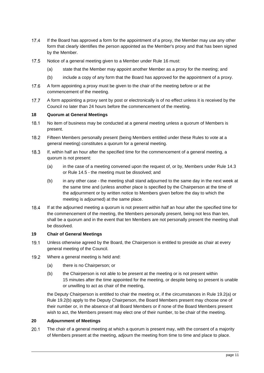- $17.4$ If the Board has approved a form for the appointment of a proxy, the Member may use any other form that clearly identifies the person appointed as the Member's proxy and that has been signed by the Member.
- $17.5$ Notice of a general meeting given to a Member under Rule 16 must:
	- (a) state that the Member may appoint another Member as a proxy for the meeting; and
	- (b) include a copy of any form that the Board has approved for the appointment of a proxy.
- $17.6$ A form appointing a proxy must be given to the chair of the meeting before or at the commencement of the meeting.
- $17.7$ A form appointing a proxy sent by post or electronically is of no effect unless it is received by the Council no later than 24 hours before the commencement of the meeting.

### <span id="page-13-0"></span>**18 Quorum at General Meetings**

- $18.1$ No item of business may be conducted at a general meeting unless a quorum of Members is present.
- $18.2$ Fifteen Members personally present (being Members entitled under these Rules to vote at a general meeting) constitutes a quorum for a general meeting.
- $18.3$ If, within half an hour after the specified time for the commencement of a general meeting, a quorum is not present:
	- (a) in the case of a meeting convened upon the request of, or by, Members under Rule [14.3](#page-11-3) or Rule [14.5](#page-12-3) - the meeting must be dissolved; and
	- (b) in any other case the meeting shall stand adjourned to the same day in the next week at the same time and (unless another place is specified by the Chairperson at the time of the adjournment or by written notice to Members given before the day to which the meeting is adjourned) at the same place.
- $18.4$ If at the adjourned meeting a quorum is not present within half an hour after the specified time for the commencement of the meeting, the Members personally present, being not less than ten, shall be a quorum and in the event that ten Members are not personally present the meeting shall be dissolved.

### <span id="page-13-1"></span>**19 Chair of General Meetings**

- $19.1$ Unless otherwise agreed by the Board, the Chairperson is entitled to preside as chair at every general meeting of the Council.
- <span id="page-13-4"></span><span id="page-13-3"></span> $19.2$ Where a general meeting is held and:
	- (a) there is no Chairperson; or
	- (b) the Chairperson is not able to be present at the meeting or is not present within 15 minutes after the time appointed for the meeting, or despite being so present is unable or unwilling to act as chair of the meeting,

the Deputy Chairperson is entitled to chair the meeting or, if the circumstances in Rule [19.2\(a\)](#page-13-3) or Rule [19.2\(b\)](#page-13-4) apply to the Deputy Chairperson, the Board Members present may choose one of their number or, in the absence of all Board Members or if none of the Board Members present wish to act, the Members present may elect one of their number, to be chair of the meeting.

### <span id="page-13-2"></span>**20 Adjournment of Meetings**

 $20.1$ The chair of a general meeting at which a quorum is present may, with the consent of a majority of Members present at the meeting, adjourn the meeting from time to time and place to place.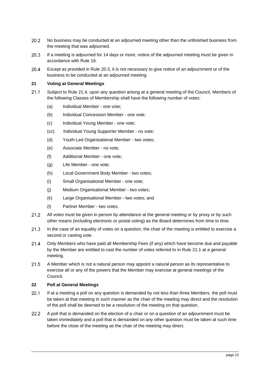- $20.2$ No business may be conducted at an adjourned meeting other than the unfinished business from the meeting that was adjourned.
- <span id="page-14-2"></span> $20.3$ If a meeting is adjourned for 14 days or more, notice of the adjourned meeting must be given in accordance with Rule [16.](#page-12-4)
- $20.4$ Except as provided in Rule [20.3,](#page-14-2) it is not necessary to give notice of an adjournment or of the business to be conducted at an adjourned meeting.

## <span id="page-14-0"></span>**21 Voting at General Meetings**

- <span id="page-14-4"></span> $21.1$ Subject to Rule [21.4,](#page-14-3) upon any question arising at a general meeting of the Council, Members of the following Classes of Membership shall have the following number of votes:
	- (a) Individual Member one vote;
	- (b) Individual Concession Member one vote;
	- (c) Individual Young Member one vote;
	- (cc) Individual Young Supporter Member no vote;
	- (d) Youth-Led Organisational Member two votes;
	- (e) Associate Member no vote;
	- (f) Additional Member one vote;
	- (g) Life Member one vote;
	- (h) Local Government Body Member two votes;
	- (i) Small Organisational Member one vote;
	- (j) Medium Organisational Member two votes;
	- (k) Large Organisational Member two votes; and
	- (l) Partner Member two votes.
- $21.2$ All votes must be given in person by attendance at the general meeting or by proxy or by such other means (including electronic or postal voting) as the Board determines from time to time.
- $21.3$ In the case of an equality of votes on a question, the chair of the meeting is entitled to exercise a second or casting vote.
- <span id="page-14-3"></span> $21.4$ Only Members who have paid all Membership Fees (if any) which have become due and payable by the Member are entitled to cast the number of votes referred to in Rule [21.1](#page-14-4) at a general meeting.
- $21.5$ A Member which is not a natural person may appoint a natural person as its representative to exercise all or any of the powers that the Member may exercise at general meetings of the Council.

# <span id="page-14-1"></span>**22 Poll at General Meetings**

- $22.1$ If at a meeting a poll on any question is demanded by not less than three Members, the poll must be taken at that meeting in such manner as the chair of the meeting may direct and the resolution of the poll shall be deemed to be a resolution of the meeting on that question.
- $22.2$ A poll that is demanded on the election of a chair or on a question of an adjournment must be taken immediately and a poll that is demanded on any other question must be taken at such time before the close of the meeting as the chair of the meeting may direct.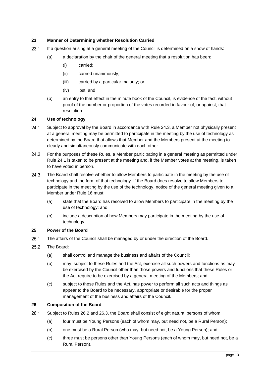# <span id="page-15-0"></span>**23 Manner of Determining whether Resolution Carried**

- $23.1$ If a question arising at a general meeting of the Council is determined on a show of hands:
	- (a) a declaration by the chair of the general meeting that a resolution has been:
		- (i) carried;
		- (ii) carried unanimously;
		- (iii) carried by a particular majority; or
		- (iv) lost; and
	- (b) an entry to that effect in the minute book of the Council, is evidence of the fact, without proof of the number or proportion of the votes recorded in favour of, or against, that resolution.

# <span id="page-15-1"></span>**24 Use of technology**

- <span id="page-15-9"></span> $24.1$ Subject to approval by the Board in accordance with Rule [24.3,](#page-15-8) a Member not physically present at a general meeting may be permitted to participate in the meeting by the use of technology as determined by the Board that allows that Member and the Members present at the meeting to clearly and simultaneously communicate with each other.
- $24.2$ For the purposes of these Rules, a Member participating in a general meeting as permitted under Rule [24.1](#page-15-9) is taken to be present at the meeting and, if the Member votes at the meeting, is taken to have voted in person.
- <span id="page-15-8"></span>24.3 The Board shall resolve whether to allow Members to participate in the meeting by the use of technology and the form of that technology. If the Board does resolve to allow Members to participate in the meeting by the use of the technology, notice of the general meeting given to a Member under Rule [16](#page-12-4) must:
	- (a) state that the Board has resolved to allow Members to participate in the meeting by the use of technology; and
	- (b) include a description of how Members may participate in the meeting by the use of technology.

### <span id="page-15-2"></span>**25 Power of the Board**

- $25.1$ The affairs of the Council shall be managed by or under the direction of the Board.
- 25.2 The Board:
	- (a) shall control and manage the business and affairs of the Council;
	- (b) may, subject to these Rules and the Act, exercise all such powers and functions as may be exercised by the Council other than those powers and functions that these Rules or the Act require to be exercised by a general meeting of the Members; and
	- (c) subject to these Rules and the Act, has power to perform all such acts and things as appear to the Board to be necessary, appropriate or desirable for the proper management of the business and affairs of the Council.

### <span id="page-15-3"></span>**26 Composition of the Board**

- <span id="page-15-7"></span><span id="page-15-6"></span><span id="page-15-5"></span><span id="page-15-4"></span> $26.1$ Subject to Rules [26.2](#page-16-5) and [26.3,](#page-16-4) the Board shall consist of eight natural persons of whom:
	- (a) four must be Young Persons (each of whom may, but need not, be a Rural Person);
	- (b) one must be a Rural Person (who may, but need not, be a Young Person); and
	- (c) three must be persons other than Young Persons (each of whom may, but need not, be a Rural Person).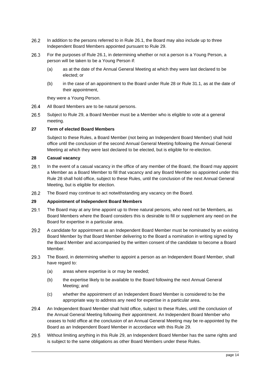- <span id="page-16-5"></span>26.2 In addition to the persons referred to in Rule [26.1,](#page-15-5) the Board may also include up to three Independent Board Members appointed pursuant to Rule [29.](#page-16-3)
- <span id="page-16-4"></span>26.3 For the purposes of Rule [26.1,](#page-15-5) in determining whether or not a person is a Young Person, a person will be taken to be a Young Person if:
	- (a) as at the date of the Annual General Meeting at which they were last declared to be elected; or
	- (b) in the case of an appointment to the Board under Rul[e 28](#page-16-6) or Rul[e 31.1,](#page-18-3) as at the date of their appointment,

they were a Young Person.

- 26.4 All Board Members are to be natural persons.
- $26.5$ Subject to Rule [29,](#page-16-3) a Board Member must be a Member who is eligible to vote at a general meeting.

# <span id="page-16-0"></span>**27 Term of elected Board Members**

Subject to these Rules, a Board Member (not being an Independent Board Member) shall hold office until the conclusion of the second Annual General Meeting following the Annual General Meeting at which they were last declared to be elected, but is eligible for re-election.

## <span id="page-16-6"></span><span id="page-16-1"></span>**28 Casual vacancy**

- $28.1$ In the event of a casual vacancy in the office of any member of the Board, the Board may appoint a Member as a Board Member to fill that vacancy and any Board Member so appointed under this Rule [28](#page-16-6) shall hold office, subject to these Rules, until the conclusion of the next Annual General Meeting, but is eligible for election.
- 28.2 The Board may continue to act notwithstanding any vacancy on the Board.

## <span id="page-16-3"></span><span id="page-16-2"></span>**29 Appointment of Independent Board Members**

- $29.1$ The Board may at any time appoint up to three natural persons, who need not be Members, as Board Members where the Board considers this is desirable to fill or supplement any need on the Board for expertise in a particular area.
- 29.2 A candidate for appointment as an Independent Board Member must be nominated by an existing Board Member by that Board Member delivering to the Board a nomination in writing signed by the Board Member and accompanied by the written consent of the candidate to become a Board Member.
- 29.3 The Board, in determining whether to appoint a person as an Independent Board Member, shall have regard to:
	- (a) areas where expertise is or may be needed;
	- (b) the expertise likely to be available to the Board following the next Annual General Meeting; and
	- (c) whether the appointment of an Independent Board Member is considered to be the appropriate way to address any need for expertise in a particular area.
- 29.4 An Independent Board Member shall hold office, subject to these Rules, until the conclusion of the Annual General Meeting following their appointment. An Independent Board Member who ceases to hold office at the conclusion of an Annual General Meeting may be re-appointed by the Board as an Independent Board Member in accordance with this Rule [29.](#page-16-3)
- 29.5 Without limiting anything in this Rule [29,](#page-16-3) an Independent Board Member has the same rights and is subject to the same obligations as other Board Members under these Rules.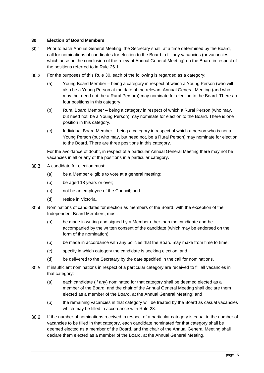# <span id="page-17-1"></span><span id="page-17-0"></span>**30 Election of Board Members**

- $30.1$ Prior to each Annual General Meeting, the Secretary shall, at a time determined by the Board, call for nominations of candidates for election to the Board to fill any vacancies (or vacancies which arise on the conclusion of the relevant Annual General Meeting) on the Board in respect of the positions referred to in Rule [26.1.](#page-15-5)
- $30.2$ For the purposes of this Rule [30,](#page-17-1) each of the following is regarded as a category:
	- (a) Young Board Member being a category in respect of which a Young Person (who will also be a Young Person at the date of the relevant Annual General Meeting (and who may, but need not, be a Rural Person)) may nominate for election to the Board. There are four positions in this category.
	- (b) Rural Board Member being a category in respect of which a Rural Person (who may, but need not, be a Young Person) may nominate for election to the Board. There is one position in this category.
	- (c) Individual Board Member being a category in respect of which a person who is not a Young Person (but who may, but need not, be a Rural Person) may nominate for election to the Board. There are three positions in this category.

For the avoidance of doubt, in respect of a particular Annual General Meeting there may not be vacancies in all or any of the positions in a particular category.

- $30.3$ A candidate for election must:
	- (a) be a Member eligible to vote at a general meeting;
	- (b) be aged 18 years or over;
	- (c) not be an employee of the Council; and
	- (d) reside in Victoria.
- $30.4$ Nominations of candidates for election as members of the Board, with the exception of the Independent Board Members, must:
	- (a) be made in writing and signed by a Member other than the candidate and be accompanied by the written consent of the candidate (which may be endorsed on the form of the nomination);
	- (b) be made in accordance with any policies that the Board may make from time to time;
	- (c) specify in which category the candidate is seeking election; and
	- (d) be delivered to the Secretary by the date specified in the call for nominations.
- $30.5$ If insufficient nominations in respect of a particular category are received to fill all vacancies in that category:
	- (a) each candidate (if any) nominated for that category shall be deemed elected as a member of the Board, and the chair of the Annual General Meeting shall declare them elected as a member of the Board, at the Annual General Meeting; and
	- (b) the remaining vacancies in that category will be treated by the Board as casual vacancies which may be filled in accordance with Rule [28.](#page-16-6)
- $30.6$ If the number of nominations received in respect of a particular category is equal to the number of vacancies to be filled in that category, each candidate nominated for that category shall be deemed elected as a member of the Board, and the chair of the Annual General Meeting shall declare them elected as a member of the Board, at the Annual General Meeting.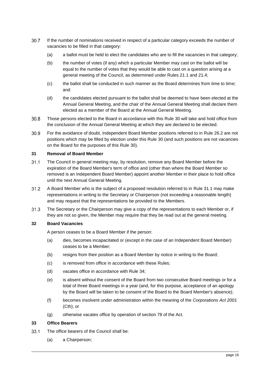- $30.7$ If the number of nominations received in respect of a particular category exceeds the number of vacancies to be filled in that category:
	- (a) a ballot must be held to elect the candidates who are to fill the vacancies in that category;
	- (b) the number of votes (if any) which a particular Member may cast on the ballot will be equal to the number of votes that they would be able to cast on a question arising at a general meeting of the Council, as determined under Rules [21.1](#page-14-4) and [21.4;](#page-14-3)
	- (c) the ballot shall be conducted in such manner as the Board determines from time to time; and
	- (d) the candidates elected pursuant to the ballot shall be deemed to have been elected at the Annual General Meeting, and the chair of the Annual General Meeting shall declare them elected as a member of the Board at the Annual General Meeting.
- $30.8$ Those persons elected to the Board in accordance with this Rule [30](#page-17-1) will take and hold office from the conclusion of the Annual General Meeting at which they are declared to be elected.
- $30.9$ For the avoidance of doubt, Independent Board Member positions referred to in Rule [26.2](#page-16-5) are not positions which may be filled by election under this Rule [30](#page-17-1) (and such positions are not vacancies on the Board for the purposes of this Rule [30\)](#page-17-1).

# <span id="page-18-0"></span>**31 Removal of Board Member**

- <span id="page-18-3"></span> $31.1$ The Council in general meeting may, by resolution, remove any Board Member before the expiration of the Board Member's term of office and (other than where the Board Member so removed is an Independent Board Member) appoint another Member in their place to hold office until the next Annual General Meeting.
- $31.2$ A Board Member who is the subject of a proposed resolution referred to in Rule [31.1](#page-18-3) may make representations in writing to the Secretary or Chairperson (not exceeding a reasonable length) and may request that the representations be provided to the Members.
- $31.3$ The Secretary or the Chairperson may give a copy of the representations to each Member or, if they are not so given, the Member may require that they be read out at the general meeting.

# <span id="page-18-1"></span>**32 Board Vacancies**

A person ceases to be a Board Member if the person:

- (a) dies, becomes incapacitated or (except in the case of an Independent Board Member) ceases to be a Member;
- (b) resigns from their position as a Board Member by notice in writing to the Board;
- (c) is removed from office in accordance with these Rules;
- (d) vacates office in accordance with Rule [34;](#page-19-3)
- (e) is absent without the consent of the Board from two consecutive Board meetings or for a total of three Board meetings in a year (and, for this purpose, acceptance of an apology by the Board will be taken to be consent of the Board to the Board Member's absence);
- (f) becomes insolvent under administration within the meaning of the *Corporations Act 2001* (Cth); or
- (g) otherwise vacates office by operation of section 78 of the Act.

### <span id="page-18-2"></span>**33 Office Bearers**

- <span id="page-18-4"></span>33.1 The office bearers of the Council shall be:
	- (a) a Chairperson;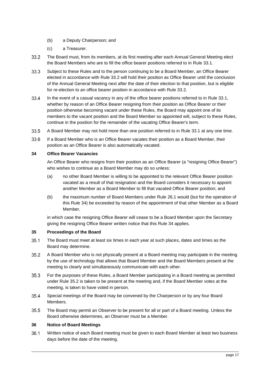- (b) a Deputy Chairperson; and
- (c) a Treasurer.
- <span id="page-19-4"></span> $33.2$ The Board must, from its members, at its first meeting after each Annual General Meeting elect the Board Members who are to fill the office bearer positions referred to in Rule [33.1.](#page-18-4)
- $33.3$ Subject to these Rules and to the person continuing to be a Board Member, an Office Bearer elected in accordance with Rule [33.2](#page-19-4) will hold their position as Office Bearer until the conclusion of the Annual General Meeting next after the date of their election to that position, but is eligible for re-election to an office bearer position in accordance with Rule [33.2.](#page-19-4)
- 33.4 In the event of a casual vacancy in any of the office bearer positions referred to in Rule [33.1,](#page-18-4) whether by reason of an Office Bearer resigning from their position as Office Bearer or their position otherwise becoming vacant under these Rules, the Board may appoint one of its members to the vacant position and the Board Member so appointed will, subject to these Rules, continue in the position for the remainder of the vacating Office Bearer's term.
- $33.5$ A Board Member may not hold more than one position referred to in Rule [33.1](#page-18-4) at any one time.
- 33.6 If a Board Member who is an Office Bearer vacates their position as a Board Member, their position as an Office Bearer is also automatically vacated.

# <span id="page-19-3"></span><span id="page-19-0"></span>**34 Office Bearer Vacancies**

An Office Bearer who resigns from their position as an Office Bearer (a "resigning Office Bearer") who wishes to continue as a Board Member may do so unless:

- (a) no other Board Member is willing to be appointed to the relevant Office Bearer position vacated as a result of that resignation and the Board considers it necessary to appoint another Member as a Board Member to fill that vacated Office Bearer position; and
- (b) the maximum number of Board Members under Rule [26.1](#page-15-5) would (but for the operation of this Rule [34\)](#page-19-3) be exceeded by reason of the appointment of that other Member as a Board Member,

in which case the resigning Office Bearer will cease to be a Board Member upon the Secretary giving the resigning Office Bearer written notice that this Rule [34](#page-19-3) applies.

# <span id="page-19-1"></span>**35 Proceedings of the Board**

- $35.1$ The Board must meet at least six times in each year at such places, dates and times as the Board may determine.
- <span id="page-19-5"></span> $35.2$ A Board Member who is not physically present at a Board meeting may participate in the meeting by the use of technology that allows that Board Member and the Board Members present at the meeting to clearly and simultaneously communicate with each other.
- $35.3$ For the purposes of these Rules, a Board Member participating in a Board meeting as permitted under Rule [35.2](#page-19-5) is taken to be present at the meeting and, if the Board Member votes at the meeting, is taken to have voted in person.
- $35.4$ Special meetings of the Board may be convened by the Chairperson or by any four Board Members.
- 35.5 The Board may permit an Observer to be present for all or part of a Board meeting. Unless the Board otherwise determines, an Observer must be a Member.

### <span id="page-19-2"></span>**36 Notice of Board Meetings**

 $36.1$ Written notice of each Board meeting must be given to each Board Member at least two business days before the date of the meeting.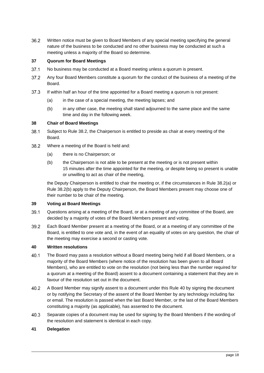36.2 Written notice must be given to Board Members of any special meeting specifying the general nature of the business to be conducted and no other business may be conducted at such a meeting unless a majority of the Board so determine.

# <span id="page-20-0"></span>**37 Quorum for Board Meetings**

- $37.1$ No business may be conducted at a Board meeting unless a quorum is present.
- $37.2$ Any four Board Members constitute a quorum for the conduct of the business of a meeting of the Board.
- $37.3$ If within half an hour of the time appointed for a Board meeting a quorum is not present:
	- (a) in the case of a special meeting, the meeting lapses; and
	- (b) in any other case, the meeting shall stand adjourned to the same place and the same time and day in the following week.

#### <span id="page-20-1"></span>**38 Chair of Board Meetings**

- 38.1 Subject to Rule [38.2,](#page-20-6) the Chairperson is entitled to preside as chair at every meeting of the Board.
- <span id="page-20-8"></span><span id="page-20-7"></span><span id="page-20-6"></span>38.2 Where a meeting of the Board is held and:
	- (a) there is no Chairperson; or
	- (b) the Chairperson is not able to be present at the meeting or is not present within 15 minutes after the time appointed for the meeting, or despite being so present is unable or unwilling to act as chair of the meeting,

the Deputy Chairperson is entitled to chair the meeting or, if the circumstances in Rule [38.2\(a\)](#page-20-7) or Rule [38.2\(b\)](#page-20-8) apply to the Deputy Chairperson, the Board Members present may choose one of their number to be chair of the meeting.

## <span id="page-20-2"></span>**39 Voting at Board Meetings**

- 39.1 Questions arising at a meeting of the Board, or at a meeting of any committee of the Board, are decided by a majority of votes of the Board Members present and voting.
- 39.2 Each Board Member present at a meeting of the Board, or at a meeting of any committee of the Board, is entitled to one vote and, in the event of an equality of votes on any question, the chair of the meeting may exercise a second or casting vote.

## <span id="page-20-9"></span><span id="page-20-3"></span>**40 Written resolutions**

- $40.1$ The Board may pass a resolution without a Board meeting being held if all Board Members, or a majority of the Board Members (where notice of the resolution has been given to all Board Members), who are entitled to vote on the resolution (not being less than the number required for a quorum at a meeting of the Board) assent to a document containing a statement that they are in favour of the resolution set out in the document.
- 40.2 A Board Member may signify assent to a document under this Rule [40](#page-20-9) by signing the document or by notifying the Secretary of the assent of the Board Member by any technology including fax or email. The resolution is passed when the last Board Member, or the last of the Board Members constituting a majority (as applicable), has assented to the document.
- $40.3$ Separate copies of a document may be used for signing by the Board Members if the wording of the resolution and statement is identical in each copy.

### <span id="page-20-5"></span><span id="page-20-4"></span>**41 Delegation**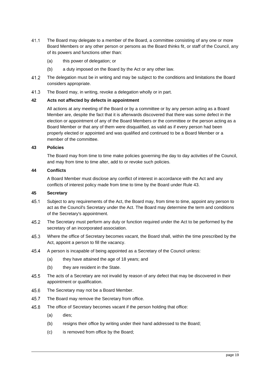- 41.1 The Board may delegate to a member of the Board, a committee consisting of any one or more Board Members or any other person or persons as the Board thinks fit, or staff of the Council, any of its powers and functions other than:
	- (a) this power of delegation; or
	- (b) a duty imposed on the Board by the Act or any other law.
- $41.2$ The delegation must be in writing and may be subject to the conditions and limitations the Board considers appropriate.
- $41.3$ The Board may, in writing, revoke a delegation wholly or in part.

# <span id="page-21-0"></span>**42 Acts not affected by defects in appointment**

All actions at any meeting of the Board or by a committee or by any person acting as a Board Member are, despite the fact that it is afterwards discovered that there was some defect in the election or appointment of any of the Board Members or the committee or the person acting as a Board Member or that any of them were disqualified, as valid as if every person had been properly elected or appointed and was qualified and continued to be a Board Member or a member of the committee.

### <span id="page-21-5"></span><span id="page-21-1"></span>**43 Policies**

The Board may from time to time make policies governing the day to day activities of the Council, and may from time to time alter, add to or revoke such policies.

# <span id="page-21-2"></span>**44 Conflicts**

A Board Member must disclose any conflict of interest in accordance with the Act and any conflicts of interest policy made from time to time by the Board under Rule [43.](#page-21-5)

# <span id="page-21-4"></span><span id="page-21-3"></span>**45 Secretary**

- 45.1 Subject to any requirements of the Act, the Board may, from time to time, appoint any person to act as the Council's Secretary under the Act. The Board may determine the term and conditions of the Secretary's appointment.
- $45.2$ The Secretary must perform any duty or function required under the Act to be performed by the secretary of an incorporated association.
- 45.3 Where the office of Secretary becomes vacant, the Board shall, within the time prescribed by the Act, appoint a person to fill the vacancy.
- 45.4 A person is incapable of being appointed as a Secretary of the Council unless:
	- (a) they have attained the age of 18 years; and
	- (b) they are resident in the State.
- 45.5 The acts of a Secretary are not invalid by reason of any defect that may be discovered in their appointment or qualification.
- 45.6 The Secretary may not be a Board Member.
- 45.7 The Board may remove the Secretary from office.
- 45.8 The office of Secretary becomes vacant if the person holding that office:
	- (a) dies;
	- (b) resigns their office by writing under their hand addressed to the Board;
	- (c) is removed from office by the Board;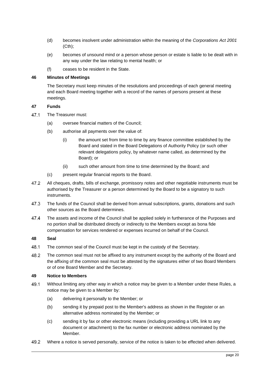- (d) becomes insolvent under administration within the meaning of the *Corporations Act 2001* (Cth);
- (e) becomes of unsound mind or a person whose person or estate is liable to be dealt with in any way under the law relating to mental health; or
- (f) ceases to be resident in the State.

### <span id="page-22-0"></span>**46 Minutes of Meetings**

The Secretary must keep minutes of the resolutions and proceedings of each general meeting and each Board meeting together with a record of the names of persons present at these meetings.

#### <span id="page-22-1"></span>**47 Funds**

- 47.1 The Treasurer must:
	- (a) oversee financial matters of the Council;
	- (b) authorise all payments over the value of:
		- (i) the amount set from time to time by any finance committee established by the Board and stated in the Board Delegations of Authority Policy (or such other relevant delegations policy, by whatever name called, as determined by the Board); or
		- (ii) such other amount from time to time determined by the Board; and
	- (c) present regular financial reports to the Board.
- 47.2 All cheques, drafts, bills of exchange, promissory notes and other negotiable instruments must be authorised by the Treasurer or a person determined by the Board to be a signatory to such instruments.
- 47.3 The funds of the Council shall be derived from annual subscriptions, grants, donations and such other sources as the Board determines.
- 47.4 The assets and income of the Council shall be applied solely in furtherance of the Purposes and no portion shall be distributed directly or indirectly to the Members except as bona fide compensation for services rendered or expenses incurred on behalf of the Council.

### <span id="page-22-2"></span>**48 Seal**

- 48.1 The common seal of the Council must be kept in the custody of the Secretary.
- 48.2 The common seal must not be affixed to any instrument except by the authority of the Board and the affixing of the common seal must be attested by the signatures either of two Board Members or of one Board Member and the Secretary.

### <span id="page-22-3"></span>**49 Notice to Members**

- 49.1 Without limiting any other way in which a notice may be given to a Member under these Rules, a notice may be given to a Member by:
	- (a) delivering it personally to the Member; or
	- (b) sending it by prepaid post to the Member's address as shown in the Register or an alternative address nominated by the Member; or
	- (c) sending it by fax or other electronic means (including providing a URL link to any document or attachment) to the fax number or electronic address nominated by the Member.
- 49.2 Where a notice is served personally, service of the notice is taken to be effected when delivered.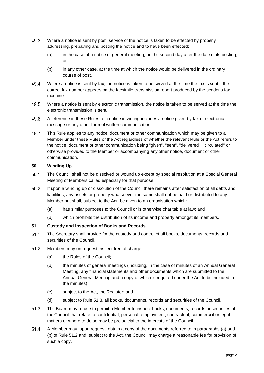- 49.3 Where a notice is sent by post, service of the notice is taken to be effected by properly addressing, prepaying and posting the notice and to have been effected:
	- (a) in the case of a notice of general meeting, on the second day after the date of its posting; or
	- (b) in any other case, at the time at which the notice would be delivered in the ordinary course of post.
- 49.4 Where a notice is sent by fax, the notice is taken to be served at the time the fax is sent if the correct fax number appears on the facsimile transmission report produced by the sender's fax machine.
- 49.5 Where a notice is sent by electronic transmission, the notice is taken to be served at the time the electronic transmission is sent.
- 49.6 A reference in these Rules to a notice in writing includes a notice given by fax or electronic message or any other form of written communication.
- 49.7 This Rule applies to any notice, document or other communication which may be given to a Member under these Rules or the Act regardless of whether the relevant Rule or the Act refers to the notice, document or other communication being "given", "sent", "delivered", "circulated" or otherwise provided to the Member or accompanying any other notice, document or other communication.

# <span id="page-23-0"></span>**50 Winding Up**

- $50.1$ The Council shall not be dissolved or wound up except by special resolution at a Special General Meeting of Members called especially for that purpose.
- $50.2$ If upon a winding up or dissolution of the Council there remains after satisfaction of all debts and liabilities, any assets or property whatsoever the same shall not be paid or distributed to any Member but shall, subject to the Act, be given to an organisation which:
	- (a) has similar purposes to the Council or is otherwise charitable at law; and
	- (b) which prohibits the distribution of its income and property amongst its members.

# <span id="page-23-1"></span>**51 Custody and Inspection of Books and Records**

- $51.1$ The Secretary shall provide for the custody and control of all books, documents, records and securities of the Council.
- <span id="page-23-5"></span><span id="page-23-4"></span><span id="page-23-3"></span> $51.2$ Members may on request inspect free of charge:
	- (a) the Rules of the Council;
	- (b) the minutes of general meetings (including, in the case of minutes of an Annual General Meeting, any financial statements and other documents which are submitted to the Annual General Meeting and a copy of which is required under the Act to be included in the minutes);
	- (c) subject to the Act, the Register; and
	- (d) subject to Rule [51.3,](#page-23-2) all books, documents, records and securities of the Council.
- <span id="page-23-2"></span> $51.3$ The Board may refuse to permit a Member to inspect books, documents, records or securities of the Council that relate to confidential, personal, employment, contractual, commercial or legal matters or where to do so may be prejudicial to the interests of the Council.
- <span id="page-23-6"></span> $51.4$ A Member may, upon request, obtain a copy of the documents referred to in paragraphs [\(a\)](#page-23-3) and [\(b\)](#page-23-4) of Rule [51.2](#page-23-5) and, subject to the Act, the Council may charge a reasonable fee for provision of such a copy.